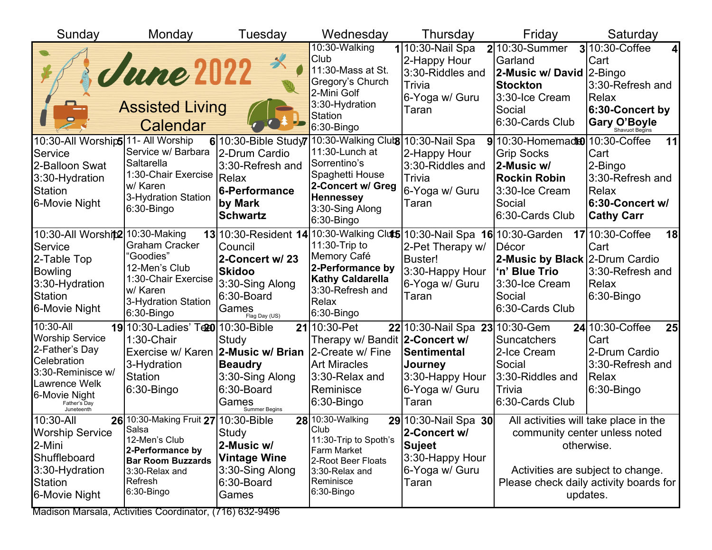| Sunday                                                                                                                                                                | Monday                                                                                                                                                    | Tuesday                                                                                                                                                                           | Wednesday                                                                                                                                                                     | Thursday                                                                                               | Friday                                                                                                                                       | Saturday                                                                                                                                                                        |
|-----------------------------------------------------------------------------------------------------------------------------------------------------------------------|-----------------------------------------------------------------------------------------------------------------------------------------------------------|-----------------------------------------------------------------------------------------------------------------------------------------------------------------------------------|-------------------------------------------------------------------------------------------------------------------------------------------------------------------------------|--------------------------------------------------------------------------------------------------------|----------------------------------------------------------------------------------------------------------------------------------------------|---------------------------------------------------------------------------------------------------------------------------------------------------------------------------------|
|                                                                                                                                                                       | <u>June 2022</u><br><b>Assisted Living</b><br>Calendar                                                                                                    |                                                                                                                                                                                   | 10:30-Walking<br>Club<br>11:30-Mass at St.<br>Gregory's Church<br>2-Mini Golf<br>3:30-Hydration<br><b>Station</b><br>6:30-Bingo                                               | 110:30-Nail Spa<br>2-Happy Hour<br>3:30-Riddles and<br>Trivia<br>6-Yoga w/ Guru<br>Taran               | $2 10:30-Summer$<br>Garland<br>2-Music w/ David 2-Bingo<br>Stockton<br>3:30-Ice Cream<br>Social<br>6:30-Cards Club                           | <b>3</b> 10:30-Coffee<br>Cart<br>3:30-Refresh and<br>Relax<br>6:30-Concert by<br><b>Gary O'Boyle</b>                                                                            |
| 10:30-All Worship5 11- All Worship<br>Service<br>2-Balloon Swat<br>3:30-Hydration<br><b>Station</b><br>6-Movie Night                                                  | Service w/ Barbara<br>Saltarella<br>1:30-Chair Exercise<br>w/ Karen<br>3-Hydration Station<br>6:30-Bingo                                                  | $6$  10:30-Bible Study<br>2-Drum Cardio<br>3:30-Refresh and<br>Relax<br>6-Performance<br>by Mark<br><b>Schwartz</b>                                                               | 10:30-Walking Clut <sup>8</sup> 10:30-Nail Spa<br>11:30-Lunch at<br>Sorrentino's<br>Spaghetti House<br>2-Concert w/ Greg<br><b>Hennessey</b><br>3:30-Sing Along<br>6:30-Bingo | 2-Happy Hour<br>3:30-Riddles and<br>Trivia<br>6-Yoga w/ Guru<br>Taran                                  | $9 10:30$ -Homemad $ 10:30$ -Coffee<br><b>Grip Socks</b><br>2-Music w/<br><b>Rockin Robin</b><br>3:30-Ice Cream<br>Social<br>6:30-Cards Club | 11<br>Cart<br>2-Bingo<br>3:30-Refresh and<br>Relax<br>6:30-Concert w/<br><b>Cathy Carr</b>                                                                                      |
| 10:30-All Worship 10:30-Making<br>Service<br>2-Table Top<br>Bowling<br>3:30-Hydration<br><b>Station</b><br>6-Movie Night                                              | <b>Graham Cracker</b><br>"Goodies"<br>12-Men's Club<br>1:30-Chair Exercise<br>w/ Karen<br>3-Hydration Station<br>6:30-Bingo                               | 13 10:30-Resident 14 10:30-Walking Cluts 10:30-Nail Spa 16 10:30-Garden<br>Council<br>2-Concert w/ 23<br><b>Skidoo</b><br>3:30-Sing Along<br>6:30-Board<br>Games<br>Flag Day (US) | 11:30-Trip to<br>Memory Café<br>2-Performance by<br><b>Kathy Caldarella</b><br>3:30-Refresh and<br>Relax<br>6:30-Bingo                                                        | 2-Pet Therapy w/<br><b>Buster!</b><br>3:30-Happy Hour<br>6-Yoga w/ Guru<br>Taran                       | Décor<br>2-Music by Black 2-Drum Cardio<br>'n' Blue Trio<br>3:30-Ice Cream<br>Social<br>6:30-Cards Club                                      | 17 10:30-Coffee<br>18<br>Cart<br>3:30-Refresh and<br>Relax<br>$6:30 - Bingo$                                                                                                    |
| 10:30-All<br><b>Worship Service</b><br>2-Father's Day<br>Celebration<br>3:30-Reminisce w/<br><b>Lawrence Welk</b><br>6-Movie Night<br>Father's Day<br>Juneteenth      | 19 10:30-Ladies' Te20 10:30-Bible<br>1:30-Chair<br>Exercise w/ Karen 2-Music w/ Brian<br>3-Hydration<br><b>Station</b><br>$6:30 - Bingo$                  | Study<br><b>Beaudry</b><br>3:30-Sing Along<br>6:30-Board<br>Games<br><b>Summer Begins</b>                                                                                         | 21 10:30-Pet<br>Therapy w/ Bandit 2-Concert w/<br>2-Create w/ Fine<br><b>Art Miracles</b><br>3:30-Relax and<br>Reminisce<br>$6:30 - Bingo$                                    | 22 10:30-Nail Spa 23 10:30-Gem<br>Sentimental<br>Journey<br>3:30-Happy Hour<br>6-Yoga w/ Guru<br>Taran | <b>Suncatchers</b><br>2-Ice Cream<br>Social<br>3:30-Riddles and<br>Trivia<br>6:30-Cards Club                                                 | 24 10:30-Coffee<br>25<br>Cart<br>2-Drum Cardio<br>3:30-Refresh and<br>Relax<br>$6:30 - Bingo$                                                                                   |
| 10:30-All<br><b>Worship Service</b><br>2-Mini<br>Shuffleboard<br>3:30-Hydration<br>Station<br>6-Movie Night<br>Modison Marsela, Activities Coordinator (716) 622 0406 | 26 10:30-Making Fruit 27 10:30-Bible<br>Salsa<br>12-Men's Club<br>2-Performance by<br><b>Bar Room Buzzards</b><br>3:30-Relax and<br>Refresh<br>6:30-Bingo | Study<br>2-Music w/<br><b>Vintage Wine</b><br>3:30-Sing Along<br>6:30-Board<br>Games                                                                                              | 28 10:30-Walking<br>Club<br>11:30-Trip to Spoth's<br><b>Farm Market</b><br>2-Root Beer Floats<br>3:30-Relax and<br>Reminisce<br>$6:30 - Bingo$                                | 29 10:30-Nail Spa 30<br>2-Concert w/<br><b>Sujeet</b><br>3:30-Happy Hour<br>6-Yoga w/ Guru<br>Taran    |                                                                                                                                              | All activities will take place in the<br>community center unless noted<br>otherwise.<br>Activities are subject to change.<br>Please check daily activity boards for<br>updates. |

Madison Marsala, Activities Coordinator, (716) 632-9496